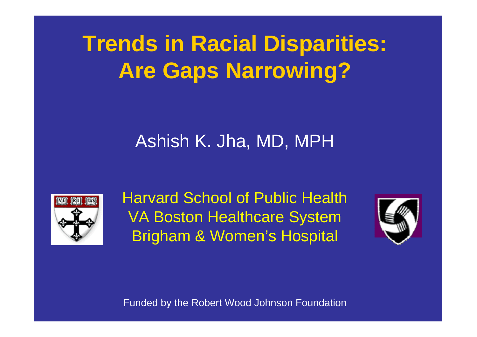# **Trends in Racial Disparities: Are Gaps Narrowing?**

#### Ashish K. Jha, MD, MPH



Harvard School of Public Health VA Boston Healthcare System Brigham & Women's Hospital



Funded by the Robert Wood Johnson Foundation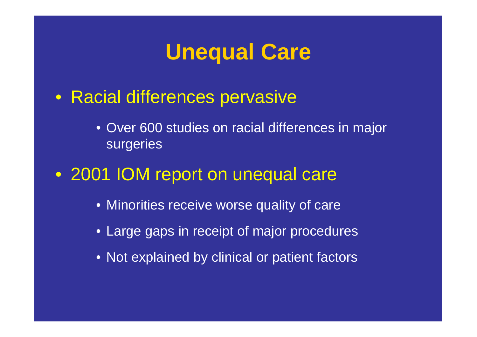#### **Unequal Care**

- Racial differences pervasive
	- Over 600 studies on racial differences in major surgeries
- 2001 IOM report on unequal care
	- Minorities receive worse quality of care
	- Large gaps in receipt of major procedures
	- Not explained by clinical or patient factors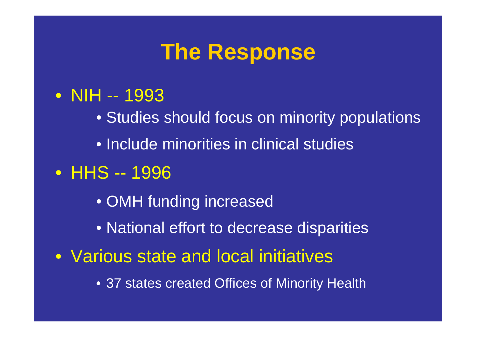### **The Response**

- NIH -- 1993
	- Studies should focus on minority populations
	- Include minorities in clinical studies
- HHS -- 1996
	- OMH funding increased
	- National effort to decrease disparities
- Various state and local initiatives
	- 37 states created Offices of Minority Health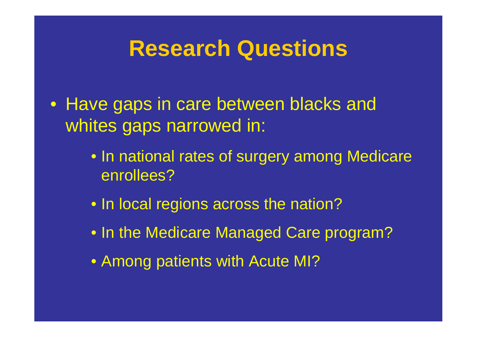### **Research Questions**

- Have gaps in care between blacks and whites gaps narrowed in:
	- In national rates of surgery among Medicare enrollees?
	- In local regions across the nation?
	- In the Medicare Managed Care program?
	- Among patients with Acute MI?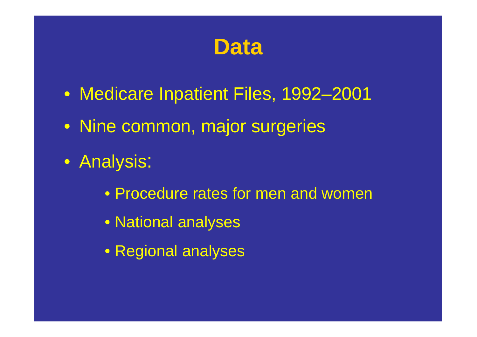#### **Data**

- Medicare Inpatient Files, 1992–2001
- Nine common, major surgeries
- Analysis:
	- Procedure rates for men and women
	- National analyses
	- Regional analyses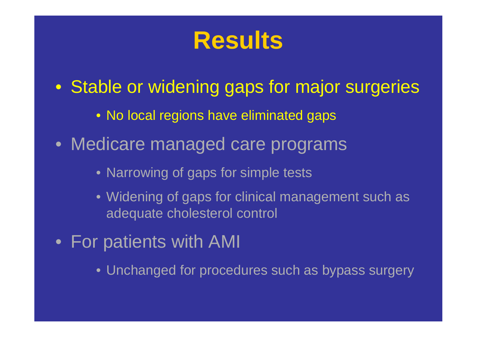## **Results**

- Stable or widening gaps for major surgeries
	- No local regions have eliminated gaps
- Medicare managed care programs
	- Narrowing of gaps for simple tests
	- Widening of gaps for clinical management such as adequate cholesterol control
- For patients with AMI
	- Unchanged for procedures such as bypass surgery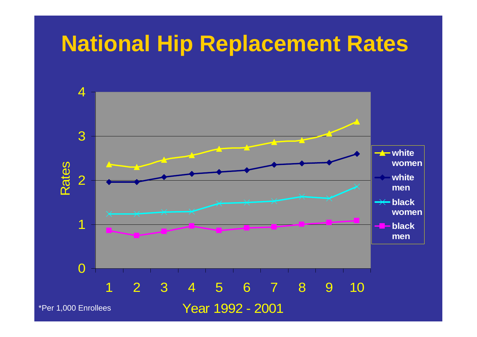#### **National Hip Replacement Rates**

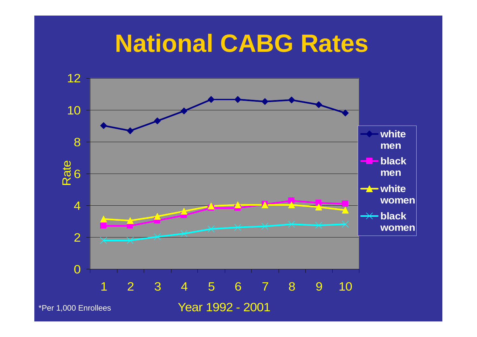## **National CABG Rates**

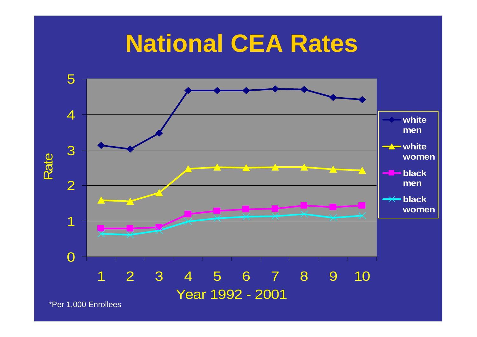## **National CEA Rates**

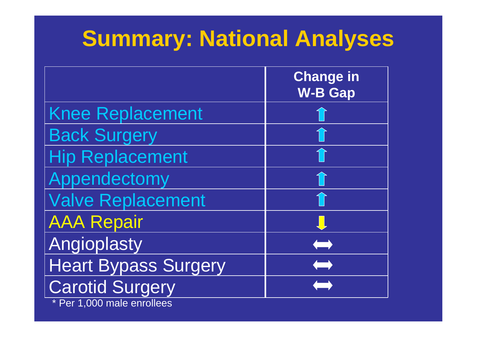# **Summary: National Analyses**

|                             | <b>Change in</b><br><b>W-B Gap</b> |
|-----------------------------|------------------------------------|
| <b>Knee Replacement</b>     |                                    |
| <b>Back Surgery</b>         |                                    |
| <b>Hip Replacement</b>      | $\mathbf{1}$                       |
| Appendectomy                | 1                                  |
| <b>Valve Replacement</b>    | 1                                  |
| <b>AAA Repair</b>           | J                                  |
| Angioplasty                 | <b>Signal</b>                      |
| <b>Heart Bypass Surgery</b> | $\qquad \qquad$                    |
| <b>Carotid Surgery</b>      |                                    |

Per 1,000 male enrollees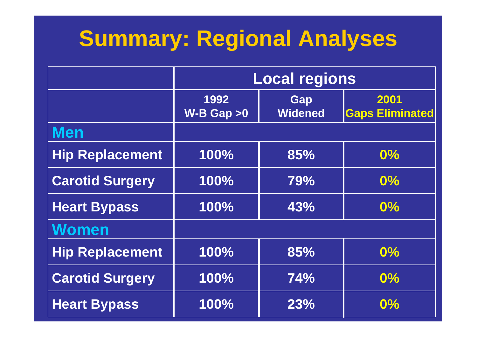# **Summary: Regional Analyses**

|                        | <b>Local regions</b>   |                       |                                |
|------------------------|------------------------|-----------------------|--------------------------------|
|                        | 1992<br>$W-B$ Gap $>0$ | Gap<br><b>Widened</b> | 2001<br><b>Gaps Eliminated</b> |
| <b>Men</b>             |                        |                       |                                |
| <b>Hip Replacement</b> | 100%                   | 85%                   | 0%                             |
| <b>Carotid Surgery</b> | 100%                   | 79%                   | $0\%$                          |
| <b>Heart Bypass</b>    | 100%                   | 43%                   | $\overline{0\%}$               |
| <b>Women</b>           |                        |                       |                                |
| <b>Hip Replacement</b> | 100%                   | 85%                   | 0%                             |
| <b>Carotid Surgery</b> | 100%                   | <b>74%</b>            | $0\%$                          |
| <b>Heart Bypass</b>    | 100%                   | 23%                   | $0\%$                          |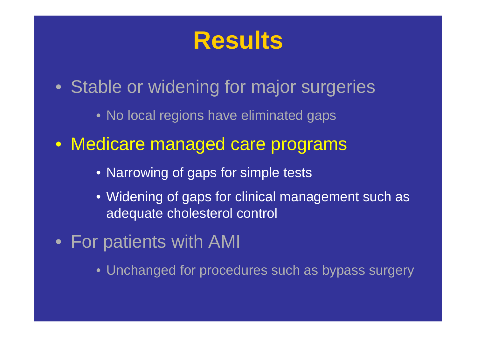## **Results**

- Stable or widening for major surgeries
	- No local regions have eliminated gaps
- Medicare managed care programs
	- Narrowing of gaps for simple tests
	- Widening of gaps for clinical management such as adequate cholesterol control
- For patients with AMI
	- Unchanged for procedures such as bypass surgery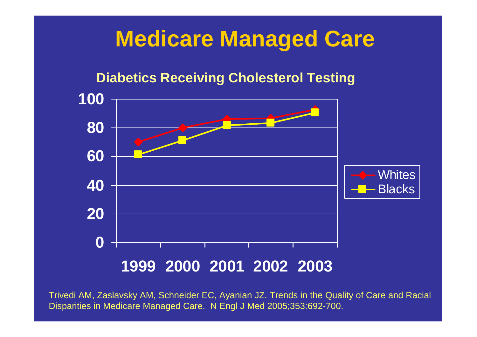### **Medicare Managed Care**

#### **Diabetics Receiving Cholesterol Testing**



Trivedi AM, Zaslavsky AM, Schneider EC, Ayanian JZ. Trends in the Quality of Care and Racial Disparities in Medicare Managed Care. N Engl J Med 2005;353:692-700.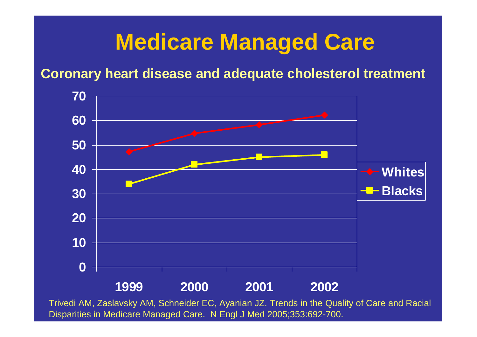## **Medicare Managed Care**

**Coronary heart disease and adequate cholesterol treatment**



Disparities in Medicare Managed Care. N Engl J Med 2005;353:692-700.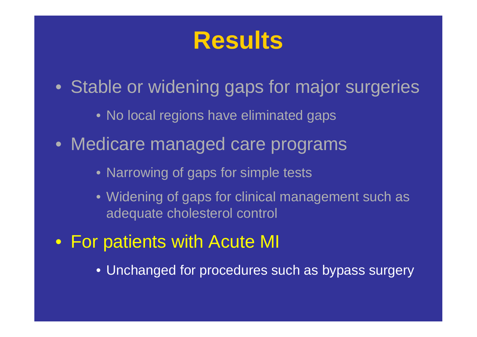## **Results**

- Stable or widening gaps for major surgeries
	- No local regions have eliminated gaps
- Medicare managed care programs
	- Narrowing of gaps for simple tests
	- Widening of gaps for clinical management such as adequate cholesterol control
- For patients with Acute MI
	- Unchanged for procedures such as bypass surgery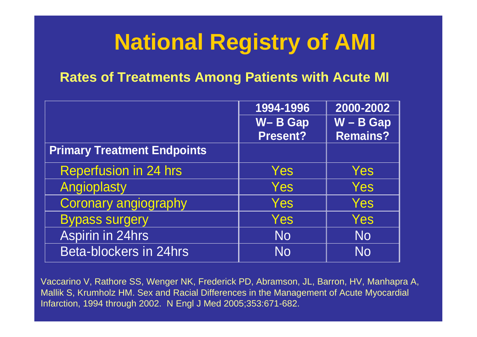# **National Registry of AMI**

#### **Rates of Treatments Among Patients with Acute MI**

|                                    | 1994-1996 | 2000-2002       |
|------------------------------------|-----------|-----------------|
|                                    | W-B Gap   | $W - B$ Gap     |
|                                    | Present?  | <b>Remains?</b> |
| <b>Primary Treatment Endpoints</b> |           |                 |
| <b>Reperfusion in 24 hrs</b>       | Yes       | Yes             |
| Angioplasty                        | Yes       | Yes             |
| Coronary angiography               | Yes       | Yes             |
| <b>Bypass surgery</b>              | Yes       | Yes             |
| Aspirin in 24hrs                   | <b>No</b> | <b>No</b>       |
| <b>Beta-blockers in 24hrs</b>      | <b>No</b> | <b>No</b>       |

Vaccarino V, Rathore SS, Wenger NK, Frederick PD, Abramson, JL, Barron, HV, Manhapra A, Mallik S, Krumholz HM. Sex and Racial Differences in the Management of Acute Myocardial Infarction, 1994 through 2002. N Engl J Med 2005;353:671-682.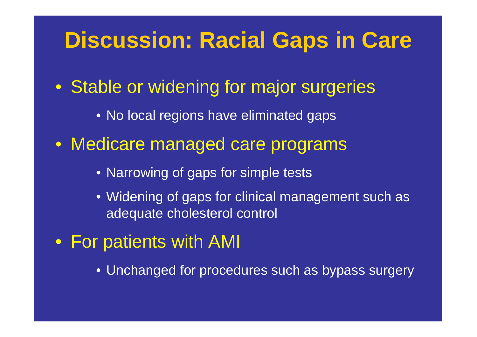#### **Discussion: Racial Gaps in Care**

- Stable or widening for major surgeries
	- No local regions have eliminated gaps
- Medicare managed care programs
	- Narrowing of gaps for simple tests
	- Widening of gaps for clinical management such as adequate cholesterol control
- For patients with AMI
	- Unchanged for procedures such as bypass surgery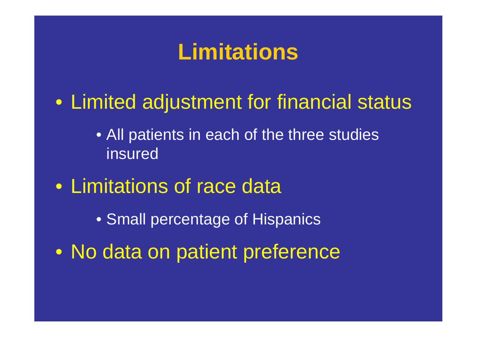## **Limitations**

• Limited adjustment for financial status

- All patients in each of the three studies insured
- Limitations of race data
	- Small percentage of Hispanics
- No data on patient preference